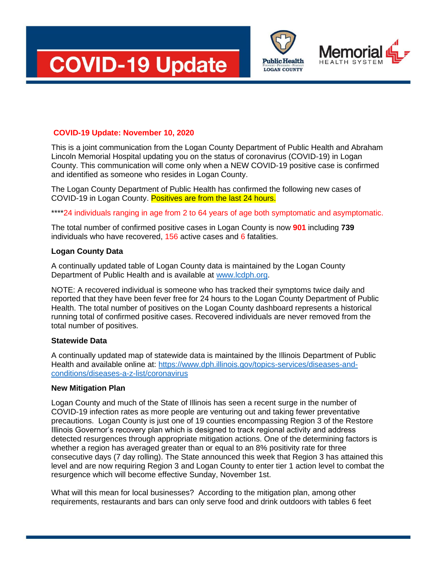





# **COVID-19 Update: November 10, 2020**

This is a joint communication from the Logan County Department of Public Health and Abraham Lincoln Memorial Hospital updating you on the status of coronavirus (COVID-19) in Logan County. This communication will come only when a NEW COVID-19 positive case is confirmed and identified as someone who resides in Logan County.

The Logan County Department of Public Health has confirmed the following new cases of COVID-19 in Logan County. Positives are from the last 24 hours.

\*\*\*\*24 individuals ranging in age from 2 to 64 years of age both symptomatic and asymptomatic.

The total number of confirmed positive cases in Logan County is now **901** including **739** individuals who have recovered, 156 active cases and 6 fatalities.

### **Logan County Data**

A continually updated table of Logan County data is maintained by the Logan County Department of Public Health and is available at [www.lcdph.org.](http://www.lcdph.org/)

NOTE: A recovered individual is someone who has tracked their symptoms twice daily and reported that they have been fever free for 24 hours to the Logan County Department of Public Health. The total number of positives on the Logan County dashboard represents a historical running total of confirmed positive cases. Recovered individuals are never removed from the total number of positives.

#### **Statewide Data**

A continually updated map of statewide data is maintained by the Illinois Department of Public Health and available online at: [https://www.dph.illinois.gov/topics-services/diseases-and](https://www.dph.illinois.gov/topics-services/diseases-and-conditions/diseases-a-z-list/coronavirus)[conditions/diseases-a-z-list/coronavirus](https://www.dph.illinois.gov/topics-services/diseases-and-conditions/diseases-a-z-list/coronavirus)

## **New Mitigation Plan**

Logan County and much of the State of Illinois has seen a recent surge in the number of COVID-19 infection rates as more people are venturing out and taking fewer preventative precautions. Logan County is just one of 19 counties encompassing Region 3 of the Restore Illinois Governor's recovery plan which is designed to track regional activity and address detected resurgences through appropriate mitigation actions. One of the determining factors is whether a region has averaged greater than or equal to an 8% positivity rate for three consecutive days (7 day rolling). The State announced this week that Region 3 has attained this level and are now requiring Region 3 and Logan County to enter tier 1 action level to combat the resurgence which will become effective Sunday, November 1st.

What will this mean for local businesses? According to the mitigation plan, among other requirements, restaurants and bars can only serve food and drink outdoors with tables 6 feet